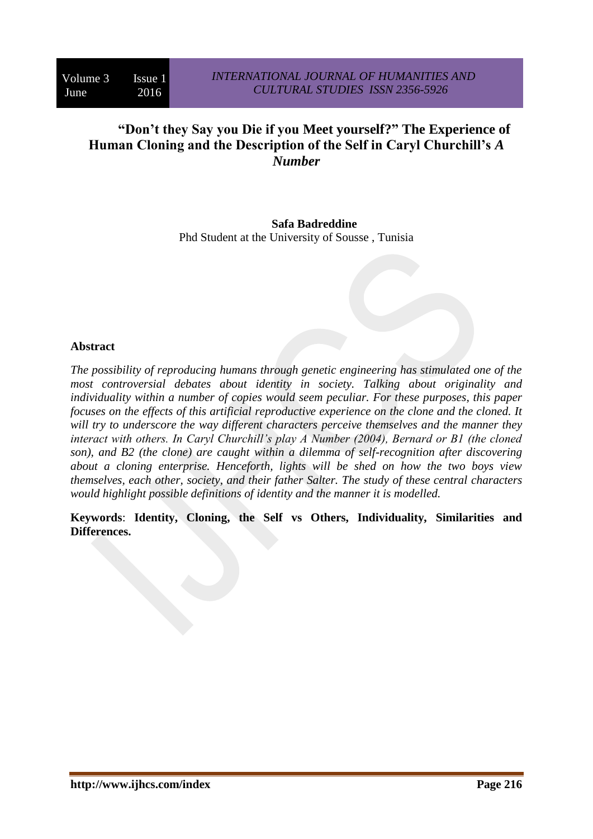# **"Don't they Say you Die if you Meet yourself?" The Experience of Human Cloning and the Description of the Self in Caryl Churchill's** *A Number*

**Safa Badreddine** Phd Student at the University of Sousse , Tunisia

#### **Abstract**

*The possibility of reproducing humans through genetic engineering has stimulated one of the most controversial debates about identity in society. Talking about originality and individuality within a number of copies would seem peculiar. For these purposes, this paper focuses on the effects of this artificial reproductive experience on the clone and the cloned. It will try to underscore the way different characters perceive themselves and the manner they interact with others. In Caryl Churchill's play A Number (2004), Bernard or B1 (the cloned son), and B2 (the clone) are caught within a dilemma of self-recognition after discovering about a cloning enterprise. Henceforth, lights will be shed on how the two boys view themselves, each other, society, and their father Salter. The study of these central characters would highlight possible definitions of identity and the manner it is modelled.* 

**Keywords**: **Identity, Cloning, the Self vs Others, Individuality, Similarities and Differences.**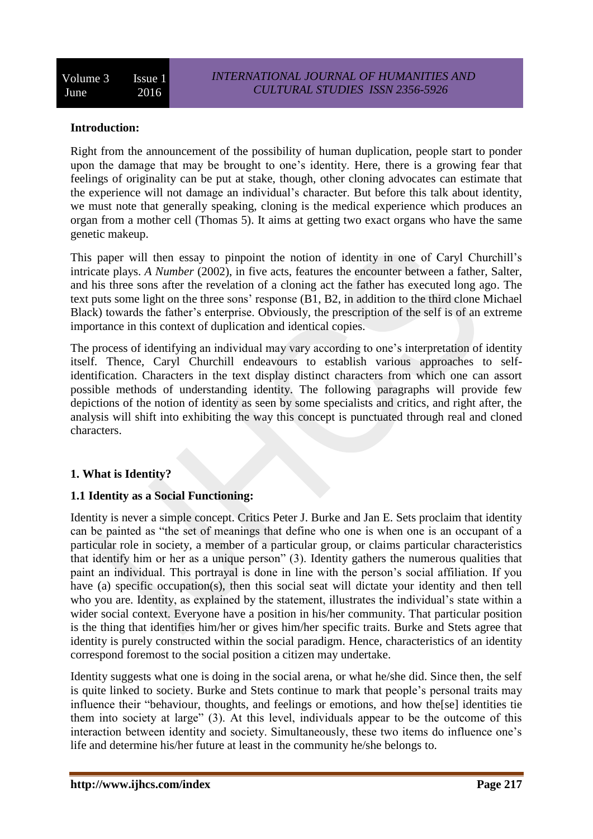### **Introduction:**

Right from the announcement of the possibility of human duplication, people start to ponder upon the damage that may be brought to one's identity. Here, there is a growing fear that feelings of originality can be put at stake, though, other cloning advocates can estimate that the experience will not damage an individual's character. But before this talk about identity, we must note that generally speaking, cloning is the medical experience which produces an organ from a mother cell (Thomas 5). It aims at getting two exact organs who have the same genetic makeup.

This paper will then essay to pinpoint the notion of identity in one of Caryl Churchill's intricate plays. *A Number* (2002), in five acts, features the encounter between a father, Salter, and his three sons after the revelation of a cloning act the father has executed long ago. The text puts some light on the three sons' response (B1, B2, in addition to the third clone Michael Black) towards the father's enterprise. Obviously, the prescription of the self is of an extreme importance in this context of duplication and identical copies.

The process of identifying an individual may vary according to one's interpretation of identity itself. Thence, Caryl Churchill endeavours to establish various approaches to selfidentification. Characters in the text display distinct characters from which one can assort possible methods of understanding identity. The following paragraphs will provide few depictions of the notion of identity as seen by some specialists and critics, and right after, the analysis will shift into exhibiting the way this concept is punctuated through real and cloned characters.

# **1. What is Identity?**

#### **1.1 Identity as a Social Functioning:**

Identity is never a simple concept. Critics Peter J. Burke and Jan E. Sets proclaim that identity can be painted as "the set of meanings that define who one is when one is an occupant of a particular role in society, a member of a particular group, or claims particular characteristics that identify him or her as a unique person" (3). Identity gathers the numerous qualities that paint an individual. This portrayal is done in line with the person's social affiliation. If you have (a) specific occupation(s), then this social seat will dictate your identity and then tell who you are. Identity, as explained by the statement, illustrates the individual's state within a wider social context. Everyone have a position in his/her community. That particular position is the thing that identifies him/her or gives him/her specific traits. Burke and Stets agree that identity is purely constructed within the social paradigm. Hence, characteristics of an identity correspond foremost to the social position a citizen may undertake.

Identity suggests what one is doing in the social arena, or what he/she did. Since then, the self is quite linked to society. Burke and Stets continue to mark that people's personal traits may influence their "behaviour, thoughts, and feelings or emotions, and how the[se] identities tie them into society at large" (3). At this level, individuals appear to be the outcome of this interaction between identity and society. Simultaneously, these two items do influence one's life and determine his/her future at least in the community he/she belongs to.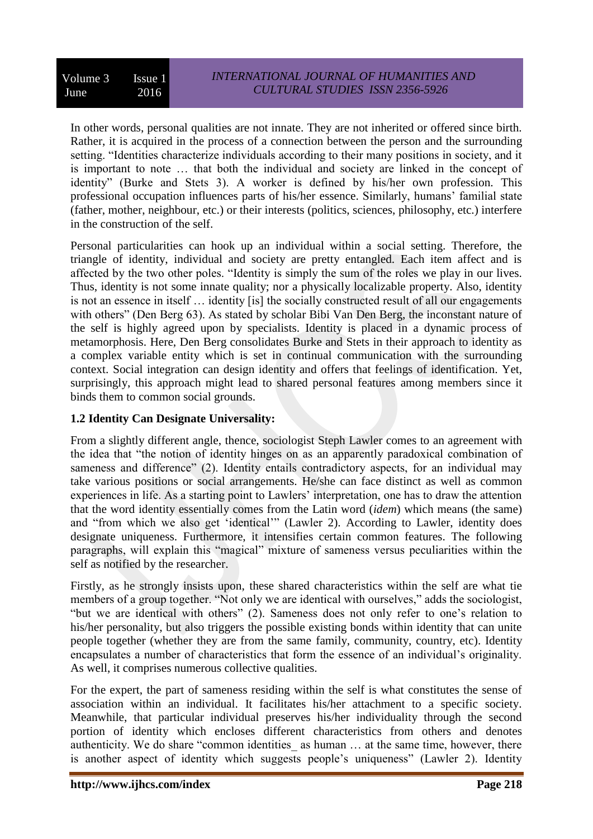In other words, personal qualities are not innate. They are not inherited or offered since birth. Rather, it is acquired in the process of a connection between the person and the surrounding setting. "Identities characterize individuals according to their many positions in society, and it is important to note … that both the individual and society are linked in the concept of identity" (Burke and Stets 3). A worker is defined by his/her own profession. This professional occupation influences parts of his/her essence. Similarly, humans' familial state (father, mother, neighbour, etc.) or their interests (politics, sciences, philosophy, etc.) interfere in the construction of the self.

Personal particularities can hook up an individual within a social setting. Therefore, the triangle of identity, individual and society are pretty entangled. Each item affect and is affected by the two other poles. "Identity is simply the sum of the roles we play in our lives. Thus, identity is not some innate quality; nor a physically localizable property. Also, identity is not an essence in itself … identity [is] the socially constructed result of all our engagements with others" (Den Berg 63). As stated by scholar Bibi Van Den Berg, the inconstant nature of the self is highly agreed upon by specialists. Identity is placed in a dynamic process of metamorphosis. Here, Den Berg consolidates Burke and Stets in their approach to identity as a complex variable entity which is set in continual communication with the surrounding context. Social integration can design identity and offers that feelings of identification. Yet, surprisingly, this approach might lead to shared personal features among members since it binds them to common social grounds.

# **1.2 Identity Can Designate Universality:**

From a slightly different angle, thence, sociologist Steph Lawler comes to an agreement with the idea that "the notion of identity hinges on as an apparently paradoxical combination of sameness and difference" (2). Identity entails contradictory aspects, for an individual may take various positions or social arrangements. He/she can face distinct as well as common experiences in life. As a starting point to Lawlers' interpretation, one has to draw the attention that the word identity essentially comes from the Latin word (*idem*) which means (the same) and "from which we also get 'identical'" (Lawler 2). According to Lawler, identity does designate uniqueness. Furthermore, it intensifies certain common features. The following paragraphs, will explain this "magical" mixture of sameness versus peculiarities within the self as notified by the researcher.

Firstly, as he strongly insists upon, these shared characteristics within the self are what tie members of a group together. "Not only we are identical with ourselves," adds the sociologist, "but we are identical with others" (2). Sameness does not only refer to one's relation to his/her personality, but also triggers the possible existing bonds within identity that can unite people together (whether they are from the same family, community, country, etc). Identity encapsulates a number of characteristics that form the essence of an individual's originality. As well, it comprises numerous collective qualities.

For the expert, the part of sameness residing within the self is what constitutes the sense of association within an individual. It facilitates his/her attachment to a specific society. Meanwhile, that particular individual preserves his/her individuality through the second portion of identity which encloses different characteristics from others and denotes authenticity. We do share "common identities\_ as human … at the same time, however, there is another aspect of identity which suggests people's uniqueness" (Lawler 2). Identity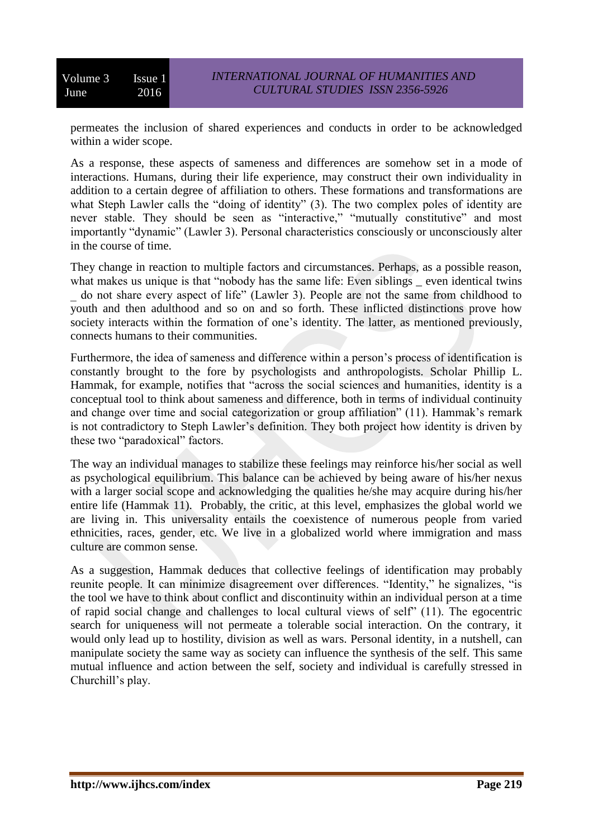permeates the inclusion of shared experiences and conducts in order to be acknowledged within a wider scope.

As a response, these aspects of sameness and differences are somehow set in a mode of interactions. Humans, during their life experience, may construct their own individuality in addition to a certain degree of affiliation to others. These formations and transformations are what Steph Lawler calls the "doing of identity" (3). The two complex poles of identity are never stable. They should be seen as "interactive," "mutually constitutive" and most importantly "dynamic" (Lawler 3). Personal characteristics consciously or unconsciously alter in the course of time.

They change in reaction to multiple factors and circumstances. Perhaps, as a possible reason, what makes us unique is that "nobody has the same life: Even siblings even identical twins do not share every aspect of life" (Lawler 3). People are not the same from childhood to youth and then adulthood and so on and so forth. These inflicted distinctions prove how society interacts within the formation of one's identity. The latter, as mentioned previously, connects humans to their communities.

Furthermore, the idea of sameness and difference within a person's process of identification is constantly brought to the fore by psychologists and anthropologists. Scholar Phillip L. Hammak, for example, notifies that "across the social sciences and humanities, identity is a conceptual tool to think about sameness and difference, both in terms of individual continuity and change over time and social categorization or group affiliation" (11). Hammak's remark is not contradictory to Steph Lawler's definition. They both project how identity is driven by these two "paradoxical" factors.

The way an individual manages to stabilize these feelings may reinforce his/her social as well as psychological equilibrium. This balance can be achieved by being aware of his/her nexus with a larger social scope and acknowledging the qualities he/she may acquire during his/her entire life (Hammak 11). Probably, the critic, at this level, emphasizes the global world we are living in. This universality entails the coexistence of numerous people from varied ethnicities, races, gender, etc. We live in a globalized world where immigration and mass culture are common sense.

As a suggestion, Hammak deduces that collective feelings of identification may probably reunite people. It can minimize disagreement over differences. "Identity," he signalizes, "is the tool we have to think about conflict and discontinuity within an individual person at a time of rapid social change and challenges to local cultural views of self" (11). The egocentric search for uniqueness will not permeate a tolerable social interaction. On the contrary, it would only lead up to hostility, division as well as wars. Personal identity, in a nutshell, can manipulate society the same way as society can influence the synthesis of the self. This same mutual influence and action between the self, society and individual is carefully stressed in Churchill's play.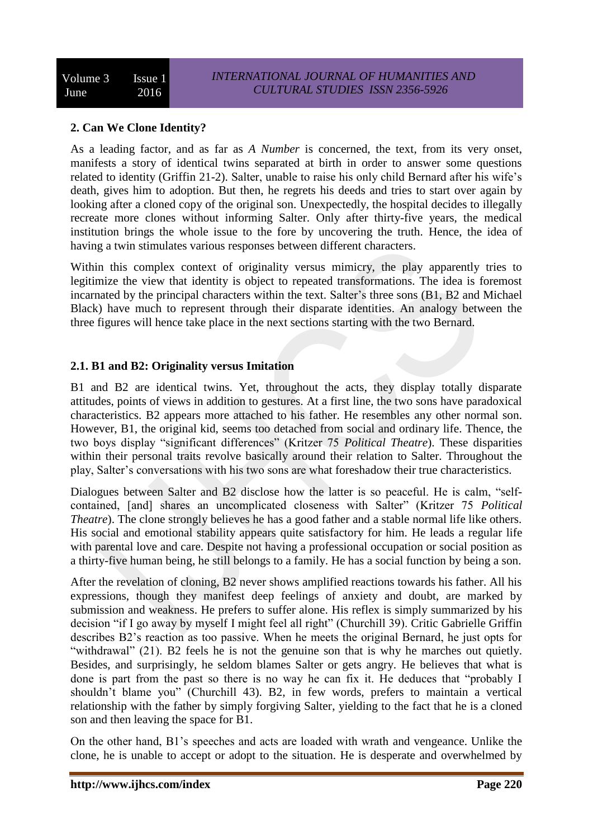## **2. Can We Clone Identity?**

As a leading factor, and as far as *A Number* is concerned, the text, from its very onset, manifests a story of identical twins separated at birth in order to answer some questions related to identity (Griffin 21-2). Salter, unable to raise his only child Bernard after his wife's death, gives him to adoption. But then, he regrets his deeds and tries to start over again by looking after a cloned copy of the original son. Unexpectedly, the hospital decides to illegally recreate more clones without informing Salter. Only after thirty-five years, the medical institution brings the whole issue to the fore by uncovering the truth. Hence, the idea of having a twin stimulates various responses between different characters.

Within this complex context of originality versus mimicry, the play apparently tries to legitimize the view that identity is object to repeated transformations. The idea is foremost incarnated by the principal characters within the text. Salter's three sons (B1, B2 and Michael Black) have much to represent through their disparate identities. An analogy between the three figures will hence take place in the next sections starting with the two Bernard.

## **2.1. B1 and B2: Originality versus Imitation**

B1 and B2 are identical twins. Yet, throughout the acts, they display totally disparate attitudes, points of views in addition to gestures. At a first line, the two sons have paradoxical characteristics. B2 appears more attached to his father. He resembles any other normal son. However, B1, the original kid, seems too detached from social and ordinary life. Thence, the two boys display "significant differences" (Kritzer 75 *Political Theatre*). These disparities within their personal traits revolve basically around their relation to Salter. Throughout the play, Salter's conversations with his two sons are what foreshadow their true characteristics.

Dialogues between Salter and B2 disclose how the latter is so peaceful. He is calm, "selfcontained, [and] shares an uncomplicated closeness with Salter" (Kritzer 75 *Political Theatre*). The clone strongly believes he has a good father and a stable normal life like others. His social and emotional stability appears quite satisfactory for him. He leads a regular life with parental love and care. Despite not having a professional occupation or social position as a thirty-five human being, he still belongs to a family. He has a social function by being a son.

After the revelation of cloning, B2 never shows amplified reactions towards his father. All his expressions, though they manifest deep feelings of anxiety and doubt, are marked by submission and weakness. He prefers to suffer alone. His reflex is simply summarized by his decision "if I go away by myself I might feel all right" (Churchill 39). Critic Gabrielle Griffin describes B2's reaction as too passive. When he meets the original Bernard, he just opts for "withdrawal" (21). B2 feels he is not the genuine son that is why he marches out quietly. Besides, and surprisingly, he seldom blames Salter or gets angry. He believes that what is done is part from the past so there is no way he can fix it. He deduces that "probably I shouldn't blame you" (Churchill 43). B2, in few words, prefers to maintain a vertical relationship with the father by simply forgiving Salter, yielding to the fact that he is a cloned son and then leaving the space for B1.

On the other hand, B1's speeches and acts are loaded with wrath and vengeance. Unlike the clone, he is unable to accept or adopt to the situation. He is desperate and overwhelmed by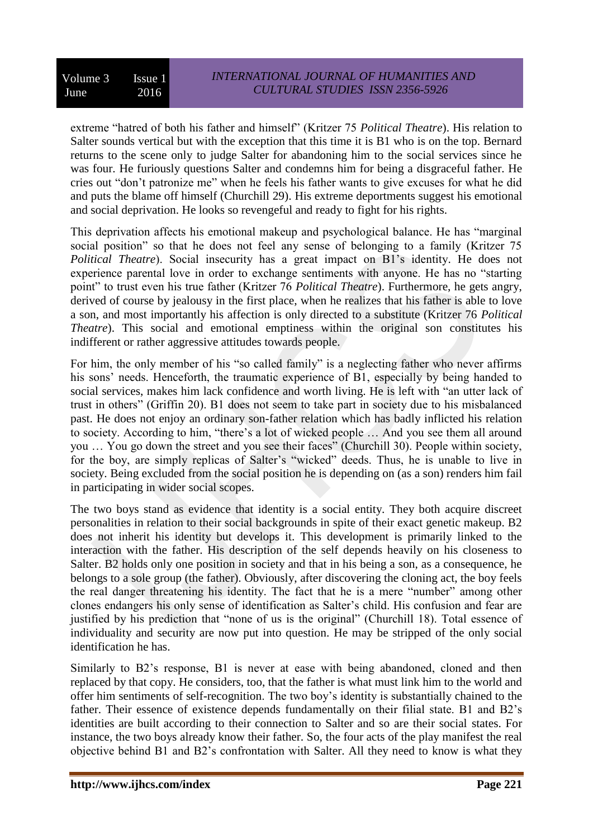extreme "hatred of both his father and himself" (Kritzer 75 *Political Theatre*). His relation to Salter sounds vertical but with the exception that this time it is B1 who is on the top. Bernard returns to the scene only to judge Salter for abandoning him to the social services since he was four. He furiously questions Salter and condemns him for being a disgraceful father. He cries out "don't patronize me" when he feels his father wants to give excuses for what he did and puts the blame off himself (Churchill 29). His extreme deportments suggest his emotional and social deprivation. He looks so revengeful and ready to fight for his rights.

This deprivation affects his emotional makeup and psychological balance. He has "marginal social position" so that he does not feel any sense of belonging to a family (Kritzer 75 *Political Theatre*). Social insecurity has a great impact on B1's identity. He does not experience parental love in order to exchange sentiments with anyone. He has no "starting point" to trust even his true father (Kritzer 76 *Political Theatre*). Furthermore, he gets angry, derived of course by jealousy in the first place, when he realizes that his father is able to love a son, and most importantly his affection is only directed to a substitute (Kritzer 76 *Political Theatre*). This social and emotional emptiness within the original son constitutes his indifferent or rather aggressive attitudes towards people.

For him, the only member of his "so called family" is a neglecting father who never affirms his sons' needs. Henceforth, the traumatic experience of B1, especially by being handed to social services, makes him lack confidence and worth living. He is left with "an utter lack of trust in others" (Griffin 20). B1 does not seem to take part in society due to his misbalanced past. He does not enjoy an ordinary son-father relation which has badly inflicted his relation to society. According to him, "there's a lot of wicked people … And you see them all around you … You go down the street and you see their faces" (Churchill 30). People within society, for the boy, are simply replicas of Salter's "wicked" deeds. Thus, he is unable to live in society. Being excluded from the social position he is depending on (as a son) renders him fail in participating in wider social scopes.

The two boys stand as evidence that identity is a social entity. They both acquire discreet personalities in relation to their social backgrounds in spite of their exact genetic makeup. B2 does not inherit his identity but develops it. This development is primarily linked to the interaction with the father. His description of the self depends heavily on his closeness to Salter. B2 holds only one position in society and that in his being a son, as a consequence, he belongs to a sole group (the father). Obviously, after discovering the cloning act, the boy feels the real danger threatening his identity. The fact that he is a mere "number" among other clones endangers his only sense of identification as Salter's child. His confusion and fear are justified by his prediction that "none of us is the original" (Churchill 18). Total essence of individuality and security are now put into question. He may be stripped of the only social identification he has.

Similarly to B2's response, B1 is never at ease with being abandoned, cloned and then replaced by that copy. He considers, too, that the father is what must link him to the world and offer him sentiments of self-recognition. The two boy's identity is substantially chained to the father. Their essence of existence depends fundamentally on their filial state. B1 and B2's identities are built according to their connection to Salter and so are their social states. For instance, the two boys already know their father. So, the four acts of the play manifest the real objective behind B1 and B2's confrontation with Salter. All they need to know is what they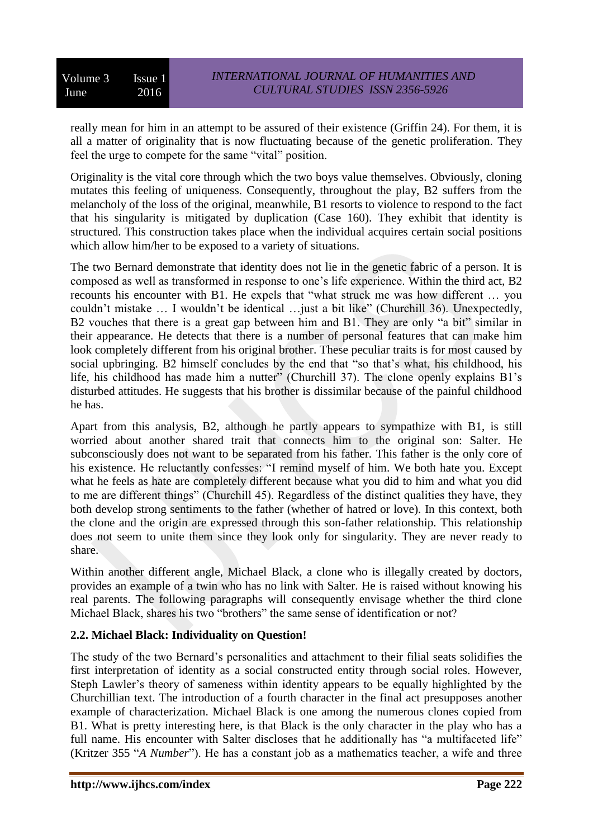really mean for him in an attempt to be assured of their existence (Griffin 24). For them, it is all a matter of originality that is now fluctuating because of the genetic proliferation. They feel the urge to compete for the same "vital" position.

Originality is the vital core through which the two boys value themselves. Obviously, cloning mutates this feeling of uniqueness. Consequently, throughout the play, B2 suffers from the melancholy of the loss of the original, meanwhile, B1 resorts to violence to respond to the fact that his singularity is mitigated by duplication (Case 160). They exhibit that identity is structured. This construction takes place when the individual acquires certain social positions which allow him/her to be exposed to a variety of situations.

The two Bernard demonstrate that identity does not lie in the genetic fabric of a person. It is composed as well as transformed in response to one's life experience. Within the third act, B2 recounts his encounter with B1. He expels that "what struck me was how different … you couldn't mistake … I wouldn't be identical …just a bit like" (Churchill 36). Unexpectedly, B2 vouches that there is a great gap between him and B1. They are only "a bit" similar in their appearance. He detects that there is a number of personal features that can make him look completely different from his original brother. These peculiar traits is for most caused by social upbringing. B2 himself concludes by the end that "so that's what, his childhood, his life, his childhood has made him a nutter" (Churchill 37). The clone openly explains B1's disturbed attitudes. He suggests that his brother is dissimilar because of the painful childhood he has.

Apart from this analysis, B2, although he partly appears to sympathize with B1, is still worried about another shared trait that connects him to the original son: Salter. He subconsciously does not want to be separated from his father. This father is the only core of his existence. He reluctantly confesses: "I remind myself of him. We both hate you. Except what he feels as hate are completely different because what you did to him and what you did to me are different things" (Churchill 45). Regardless of the distinct qualities they have, they both develop strong sentiments to the father (whether of hatred or love). In this context, both the clone and the origin are expressed through this son-father relationship. This relationship does not seem to unite them since they look only for singularity. They are never ready to share.

Within another different angle, Michael Black, a clone who is illegally created by doctors, provides an example of a twin who has no link with Salter. He is raised without knowing his real parents. The following paragraphs will consequently envisage whether the third clone Michael Black, shares his two "brothers" the same sense of identification or not?

# **2.2. Michael Black: Individuality on Question!**

The study of the two Bernard's personalities and attachment to their filial seats solidifies the first interpretation of identity as a social constructed entity through social roles. However, Steph Lawler's theory of sameness within identity appears to be equally highlighted by the Churchillian text. The introduction of a fourth character in the final act presupposes another example of characterization. Michael Black is one among the numerous clones copied from B1. What is pretty interesting here, is that Black is the only character in the play who has a full name. His encounter with Salter discloses that he additionally has "a multifaceted life" (Kritzer 355 "*A Number*"). He has a constant job as a mathematics teacher, a wife and three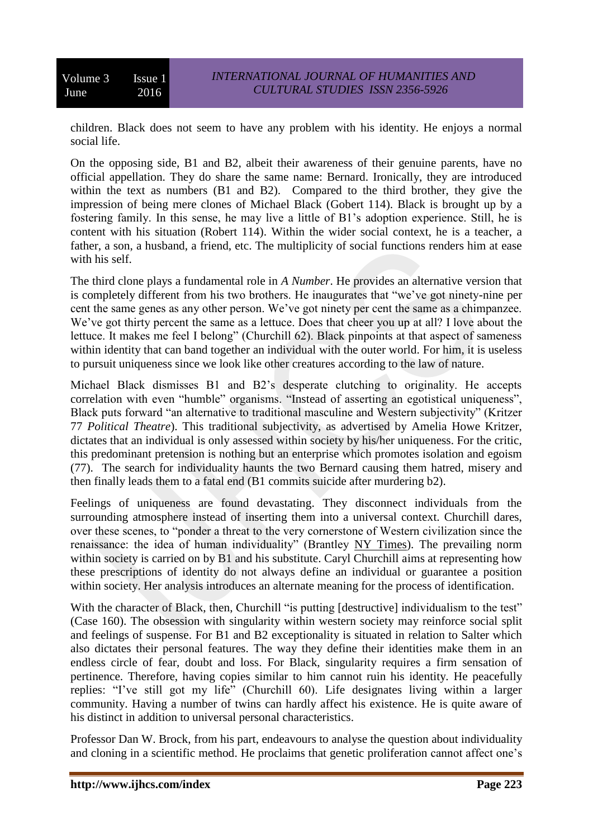children. Black does not seem to have any problem with his identity. He enjoys a normal social life.

On the opposing side, B1 and B2, albeit their awareness of their genuine parents, have no official appellation. They do share the same name: Bernard. Ironically, they are introduced within the text as numbers (B1 and B2). Compared to the third brother, they give the impression of being mere clones of Michael Black (Gobert 114). Black is brought up by a fostering family. In this sense, he may live a little of B1's adoption experience. Still, he is content with his situation (Robert 114). Within the wider social context, he is a teacher, a father, a son, a husband, a friend, etc. The multiplicity of social functions renders him at ease with his self.

The third clone plays a fundamental role in *A Number*. He provides an alternative version that is completely different from his two brothers. He inaugurates that "we've got ninety-nine per cent the same genes as any other person. We've got ninety per cent the same as a chimpanzee. We've got thirty percent the same as a lettuce. Does that cheer you up at all? I love about the lettuce. It makes me feel I belong" (Churchill 62). Black pinpoints at that aspect of sameness within identity that can band together an individual with the outer world. For him, it is useless to pursuit uniqueness since we look like other creatures according to the law of nature.

Michael Black dismisses B1 and B2's desperate clutching to originality. He accepts correlation with even "humble" organisms. "Instead of asserting an egotistical uniqueness", Black puts forward "an alternative to traditional masculine and Western subjectivity" (Kritzer 77 *Political Theatre*). This traditional subjectivity, as advertised by Amelia Howe Kritzer, dictates that an individual is only assessed within society by his/her uniqueness. For the critic, this predominant pretension is nothing but an enterprise which promotes isolation and egoism (77). The search for individuality haunts the two Bernard causing them hatred, misery and then finally leads them to a fatal end (B1 commits suicide after murdering b2).

Feelings of uniqueness are found devastating. They disconnect individuals from the surrounding atmosphere instead of inserting them into a universal context. Churchill dares, over these scenes, to "ponder a threat to the very cornerstone of Western civilization since the renaissance: the idea of human individuality" (Brantley NY Times). The prevailing norm within society is carried on by B1 and his substitute. Caryl Churchill aims at representing how these prescriptions of identity do not always define an individual or guarantee a position within society. Her analysis introduces an alternate meaning for the process of identification.

With the character of Black, then, Churchill "is putting [destructive] individualism to the test" (Case 160). The obsession with singularity within western society may reinforce social split and feelings of suspense. For B1 and B2 exceptionality is situated in relation to Salter which also dictates their personal features. The way they define their identities make them in an endless circle of fear, doubt and loss. For Black, singularity requires a firm sensation of pertinence. Therefore, having copies similar to him cannot ruin his identity. He peacefully replies: "I've still got my life" (Churchill 60). Life designates living within a larger community. Having a number of twins can hardly affect his existence. He is quite aware of his distinct in addition to universal personal characteristics.

Professor Dan W. Brock, from his part, endeavours to analyse the question about individuality and cloning in a scientific method. He proclaims that genetic proliferation cannot affect one's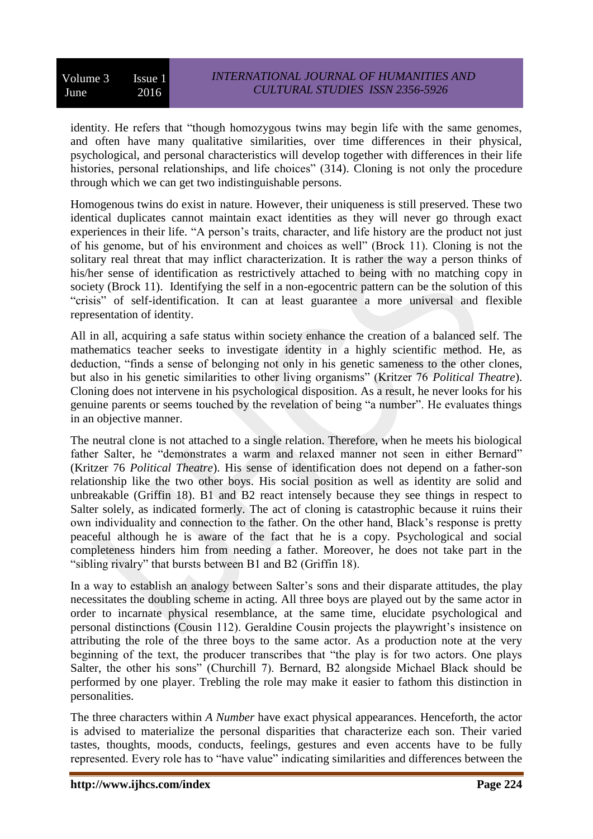identity. He refers that "though homozygous twins may begin life with the same genomes, and often have many qualitative similarities, over time differences in their physical, psychological, and personal characteristics will develop together with differences in their life histories, personal relationships, and life choices" (314). Cloning is not only the procedure through which we can get two indistinguishable persons.

Homogenous twins do exist in nature. However, their uniqueness is still preserved. These two identical duplicates cannot maintain exact identities as they will never go through exact experiences in their life. "A person's traits, character, and life history are the product not just of his genome, but of his environment and choices as well" (Brock 11). Cloning is not the solitary real threat that may inflict characterization. It is rather the way a person thinks of his/her sense of identification as restrictively attached to being with no matching copy in society (Brock 11). Identifying the self in a non-egocentric pattern can be the solution of this "crisis" of self-identification. It can at least guarantee a more universal and flexible representation of identity.

All in all, acquiring a safe status within society enhance the creation of a balanced self. The mathematics teacher seeks to investigate identity in a highly scientific method. He, as deduction, "finds a sense of belonging not only in his genetic sameness to the other clones, but also in his genetic similarities to other living organisms" (Kritzer 76 *Political Theatre*). Cloning does not intervene in his psychological disposition. As a result, he never looks for his genuine parents or seems touched by the revelation of being "a number". He evaluates things in an objective manner.

The neutral clone is not attached to a single relation. Therefore, when he meets his biological father Salter, he "demonstrates a warm and relaxed manner not seen in either Bernard" (Kritzer 76 *Political Theatre*). His sense of identification does not depend on a father-son relationship like the two other boys. His social position as well as identity are solid and unbreakable (Griffin 18). B1 and B2 react intensely because they see things in respect to Salter solely, as indicated formerly. The act of cloning is catastrophic because it ruins their own individuality and connection to the father. On the other hand, Black's response is pretty peaceful although he is aware of the fact that he is a copy. Psychological and social completeness hinders him from needing a father. Moreover, he does not take part in the "sibling rivalry" that bursts between B1 and B2 (Griffin 18).

In a way to establish an analogy between Salter's sons and their disparate attitudes, the play necessitates the doubling scheme in acting. All three boys are played out by the same actor in order to incarnate physical resemblance, at the same time, elucidate psychological and personal distinctions (Cousin 112). Geraldine Cousin projects the playwright's insistence on attributing the role of the three boys to the same actor. As a production note at the very beginning of the text, the producer transcribes that "the play is for two actors. One plays Salter, the other his sons" (Churchill 7). Bernard, B2 alongside Michael Black should be performed by one player. Trebling the role may make it easier to fathom this distinction in personalities.

The three characters within *A Number* have exact physical appearances. Henceforth, the actor is advised to materialize the personal disparities that characterize each son. Their varied tastes, thoughts, moods, conducts, feelings, gestures and even accents have to be fully represented. Every role has to "have value" indicating similarities and differences between the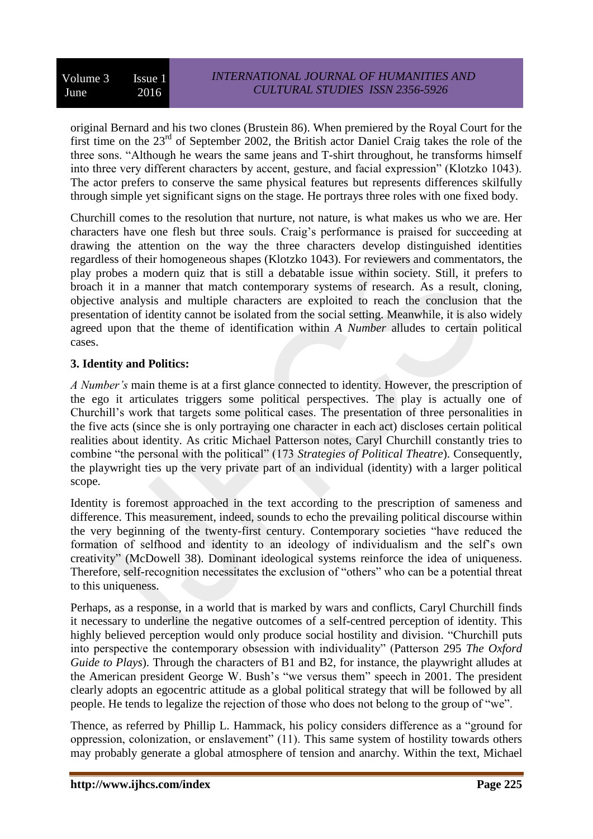original Bernard and his two clones (Brustein 86). When premiered by the Royal Court for the first time on the 23<sup>rd</sup> of September 2002, the British actor Daniel Craig takes the role of the three sons. "Although he wears the same jeans and T-shirt throughout, he transforms himself into three very different characters by accent, gesture, and facial expression" (Klotzko 1043). The actor prefers to conserve the same physical features but represents differences skilfully through simple yet significant signs on the stage. He portrays three roles with one fixed body.

Churchill comes to the resolution that nurture, not nature, is what makes us who we are. Her characters have one flesh but three souls. Craig's performance is praised for succeeding at drawing the attention on the way the three characters develop distinguished identities regardless of their homogeneous shapes (Klotzko 1043). For reviewers and commentators, the play probes a modern quiz that is still a debatable issue within society. Still, it prefers to broach it in a manner that match contemporary systems of research. As a result, cloning, objective analysis and multiple characters are exploited to reach the conclusion that the presentation of identity cannot be isolated from the social setting. Meanwhile, it is also widely agreed upon that the theme of identification within *A Number* alludes to certain political cases.

## **3. Identity and Politics:**

*A Number's* main theme is at a first glance connected to identity. However, the prescription of the ego it articulates triggers some political perspectives. The play is actually one of Churchill's work that targets some political cases. The presentation of three personalities in the five acts (since she is only portraying one character in each act) discloses certain political realities about identity. As critic Michael Patterson notes, Caryl Churchill constantly tries to combine "the personal with the political" (173 *Strategies of Political Theatre*). Consequently, the playwright ties up the very private part of an individual (identity) with a larger political scope.

Identity is foremost approached in the text according to the prescription of sameness and difference. This measurement, indeed, sounds to echo the prevailing political discourse within the very beginning of the twenty-first century. Contemporary societies "have reduced the formation of selfhood and identity to an ideology of individualism and the self's own creativity" (McDowell 38). Dominant ideological systems reinforce the idea of uniqueness. Therefore, self-recognition necessitates the exclusion of "others" who can be a potential threat to this uniqueness.

Perhaps, as a response, in a world that is marked by wars and conflicts, Caryl Churchill finds it necessary to underline the negative outcomes of a self-centred perception of identity. This highly believed perception would only produce social hostility and division. "Churchill puts into perspective the contemporary obsession with individuality" (Patterson 295 *The Oxford Guide to Plays*). Through the characters of B1 and B2, for instance, the playwright alludes at the American president George W. Bush's "we versus them" speech in 2001. The president clearly adopts an egocentric attitude as a global political strategy that will be followed by all people. He tends to legalize the rejection of those who does not belong to the group of "we".

Thence, as referred by Phillip L. Hammack, his policy considers difference as a "ground for oppression, colonization, or enslavement" (11). This same system of hostility towards others may probably generate a global atmosphere of tension and anarchy. Within the text, Michael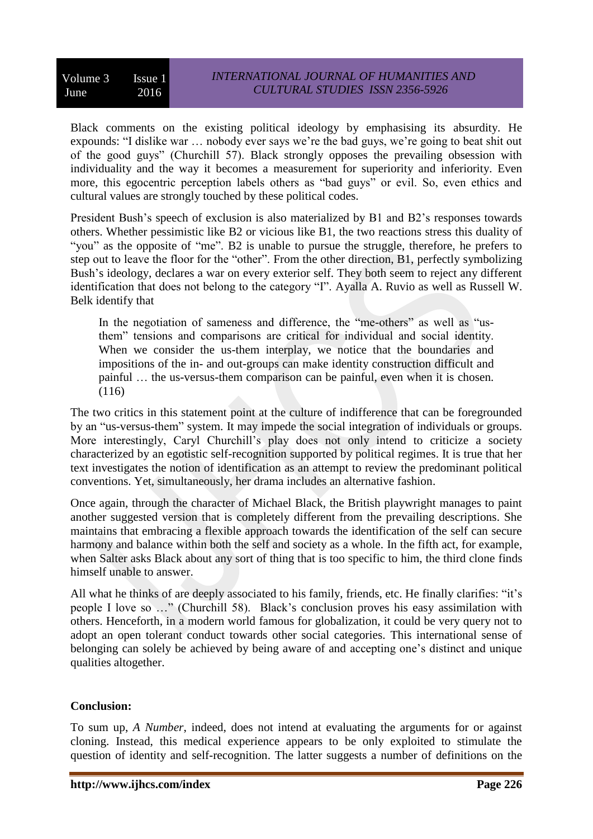Black comments on the existing political ideology by emphasising its absurdity. He expounds: "I dislike war … nobody ever says we're the bad guys, we're going to beat shit out of the good guys" (Churchill 57). Black strongly opposes the prevailing obsession with individuality and the way it becomes a measurement for superiority and inferiority. Even more, this egocentric perception labels others as "bad guys" or evil. So, even ethics and cultural values are strongly touched by these political codes.

President Bush's speech of exclusion is also materialized by B1 and B2's responses towards others. Whether pessimistic like B2 or vicious like B1, the two reactions stress this duality of "you" as the opposite of "me". B2 is unable to pursue the struggle, therefore, he prefers to step out to leave the floor for the "other". From the other direction, B1, perfectly symbolizing Bush's ideology, declares a war on every exterior self. They both seem to reject any different identification that does not belong to the category "I". Ayalla A. Ruvio as well as Russell W. Belk identify that

In the negotiation of sameness and difference, the "me-others" as well as "usthem" tensions and comparisons are critical for individual and social identity. When we consider the us-them interplay, we notice that the boundaries and impositions of the in- and out-groups can make identity construction difficult and painful … the us-versus-them comparison can be painful, even when it is chosen. (116)

The two critics in this statement point at the culture of indifference that can be foregrounded by an "us-versus-them" system. It may impede the social integration of individuals or groups. More interestingly, Caryl Churchill's play does not only intend to criticize a society characterized by an egotistic self-recognition supported by political regimes. It is true that her text investigates the notion of identification as an attempt to review the predominant political conventions. Yet, simultaneously, her drama includes an alternative fashion.

Once again, through the character of Michael Black, the British playwright manages to paint another suggested version that is completely different from the prevailing descriptions. She maintains that embracing a flexible approach towards the identification of the self can secure harmony and balance within both the self and society as a whole. In the fifth act, for example, when Salter asks Black about any sort of thing that is too specific to him, the third clone finds himself unable to answer.

All what he thinks of are deeply associated to his family, friends, etc. He finally clarifies: "it's people I love so …" (Churchill 58). Black's conclusion proves his easy assimilation with others. Henceforth, in a modern world famous for globalization, it could be very query not to adopt an open tolerant conduct towards other social categories. This international sense of belonging can solely be achieved by being aware of and accepting one's distinct and unique qualities altogether.

# **Conclusion:**

To sum up, *A Number*, indeed, does not intend at evaluating the arguments for or against cloning. Instead, this medical experience appears to be only exploited to stimulate the question of identity and self-recognition. The latter suggests a number of definitions on the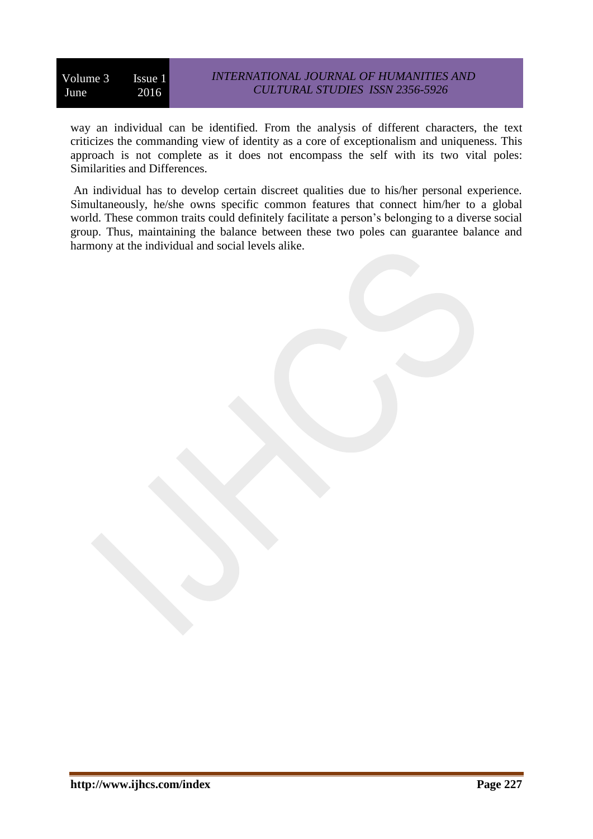way an individual can be identified. From the analysis of different characters, the text criticizes the commanding view of identity as a core of exceptionalism and uniqueness. This approach is not complete as it does not encompass the self with its two vital poles: Similarities and Differences.

An individual has to develop certain discreet qualities due to his/her personal experience. Simultaneously, he/she owns specific common features that connect him/her to a global world. These common traits could definitely facilitate a person's belonging to a diverse social group. Thus, maintaining the balance between these two poles can guarantee balance and harmony at the individual and social levels alike.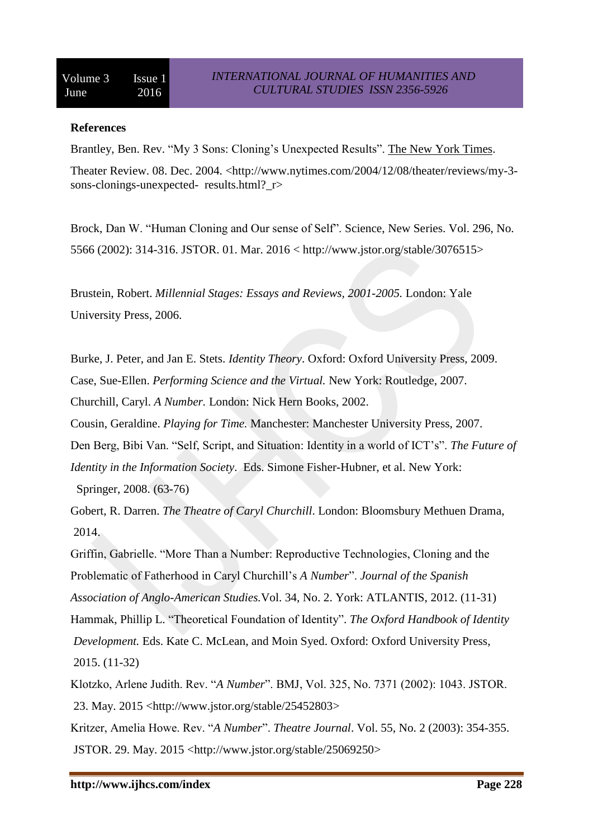#### **References**

Brantley, Ben. Rev. "My 3 Sons: Cloning's Unexpected Results". The New York Times.

Theater Review. 08. Dec. 2004. [<http://www.nytimes.com/2004/12/08/theater/reviews/my-3](http://www.nytimes.com/2004/12/08/theater/reviews/my-3-sons-clonings-unexpected-) [sons-clonings-unexpected-](http://www.nytimes.com/2004/12/08/theater/reviews/my-3-sons-clonings-unexpected-) results.html?\_r>

Brock, Dan W. "Human Cloning and Our sense of Self". Science, New Series. Vol. 296, No. 5566 (2002): 314-316. JSTOR. 01. Mar. 2016 < http://www.jstor.org/stable/3076515>

Brustein, Robert. *Millennial Stages: Essays and Reviews, 2001-2005.* London: Yale University Press, 2006.

Burke, J. Peter, and Jan E. Stets. *Identity Theory*. Oxford: Oxford University Press, 2009.

Case, Sue-Ellen. *Performing Science and the Virtual.* New York: Routledge, 2007.

Churchill, Caryl. *A Number.* London: Nick Hern Books, 2002.

Cousin, Geraldine. *Playing for Time.* Manchester: Manchester University Press, 2007.

Den Berg, Bibi Van. "Self, Script, and Situation: Identity in a world of ICT's". *The Future of Identity in the Information Society*. Eds. Simone Fisher-Hubner, et al. New York: Springer, 2008. (63-76)

Gobert, R. Darren. *The Theatre of Caryl Churchill*. London: Bloomsbury Methuen Drama, 2014.

Griffin, Gabrielle. "More Than a Number: Reproductive Technologies, Cloning and the Problematic of Fatherhood in Caryl Churchill's *A Number*". *Journal of the Spanish Association of Anglo-American Studies.*Vol. 34, No. 2. York: ATLANTIS, 2012. (11-31) Hammak, Phillip L. "Theoretical Foundation of Identity". *The Oxford Handbook of Identity Development.* Eds. Kate C. McLean, and Moin Syed. Oxford: Oxford University Press, 2015. (11-32)

Klotzko, Arlene Judith. Rev. "*A Number*". BMJ, Vol. 325, No. 7371 (2002): 1043. JSTOR. 23. May. 2015 [<http://www.jstor.org/stable/25452803>](http://www.jstor.org/stable/25452803)

Kritzer, Amelia Howe. Rev. "*A Number*". *Theatre Journal*. Vol. 55, No. 2 (2003): 354-355. JSTOR. 29. May. 2015 [<http://www.jstor.org/stable/25069250>](http://www.jstor.org/stable/25069250)